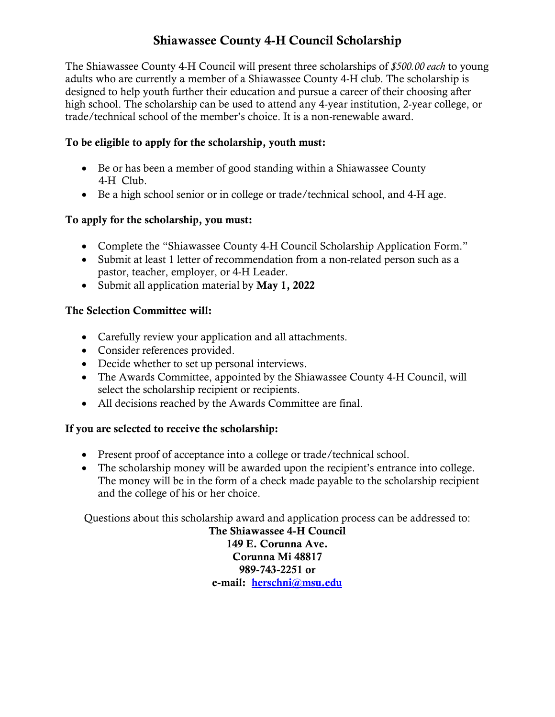## Shiawassee County 4-H Council Scholarship

The Shiawassee County 4-H Council will present three scholarships of *\$500.00 each* to young adults who are currently a member of a Shiawassee County 4-H club. The scholarship is designed to help youth further their education and pursue a career of their choosing after high school. The scholarship can be used to attend any 4-year institution, 2-year college, or trade/technical school of the member's choice. It is a non-renewable award.

#### To be eligible to apply for the scholarship, youth must:

- Be or has been a member of good standing within a Shiawassee County 4-H Club.
- Be a high school senior or in college or trade/technical school, and 4-H age.

### To apply for the scholarship, you must:

- Complete the "Shiawassee County 4-H Council Scholarship Application Form."
- Submit at least 1 letter of recommendation from a non-related person such as a pastor, teacher, employer, or 4-H Leader.
- Submit all application material by May 1, 2022

#### The Selection Committee will:

- Carefully review your application and all attachments.
- Consider references provided.
- Decide whether to set up personal interviews.
- The Awards Committee, appointed by the Shiawassee County 4-H Council, will select the scholarship recipient or recipients.
- All decisions reached by the Awards Committee are final.

#### If you are selected to receive the scholarship:

- Present proof of acceptance into a college or trade/technical school.
- The scholarship money will be awarded upon the recipient's entrance into college. The money will be in the form of a check made payable to the scholarship recipient and the college of his or her choice.

Questions about this scholarship award and application process can be addressed to:

The Shiawassee 4-H Council 149 E. Corunna Ave. Corunna Mi 48817 989-743-2251 or e-mail: [herschni@msu.edu](mailto:herschni@msu.edu)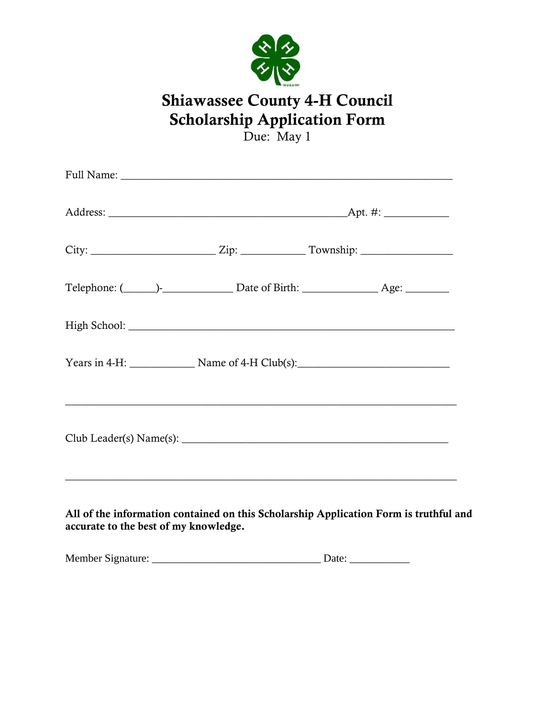

# Shiawassee County 4-H Council Scholarship Application Form

Due: May 1

|                                       | Years in 4-H: Name of 4-H Club(s): |                                                                                       |  |
|---------------------------------------|------------------------------------|---------------------------------------------------------------------------------------|--|
|                                       |                                    |                                                                                       |  |
| accurate to the best of my knowledge. |                                    | All of the information contained on this Scholarship Application Form is truthful and |  |
|                                       |                                    |                                                                                       |  |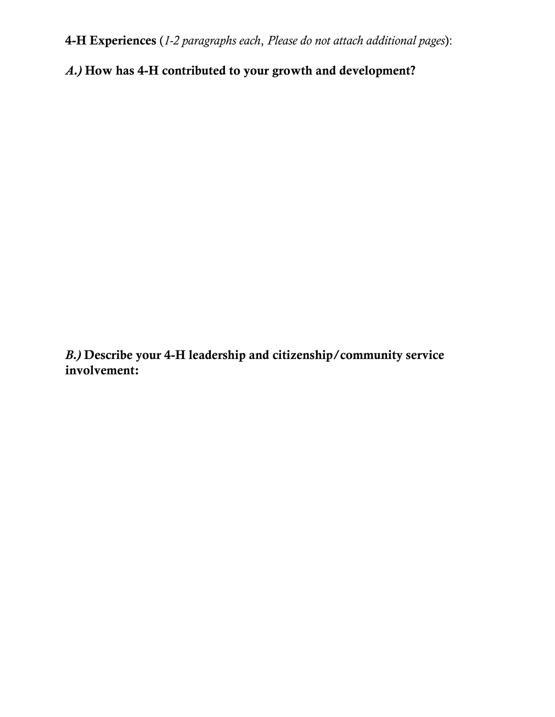4-H Experiences (*1-2 paragraphs each*, *Please do not attach additional pages*):

*A.)* How has 4-H contributed to your growth and development?

*B.)* Describe your 4-H leadership and citizenship/community service involvement: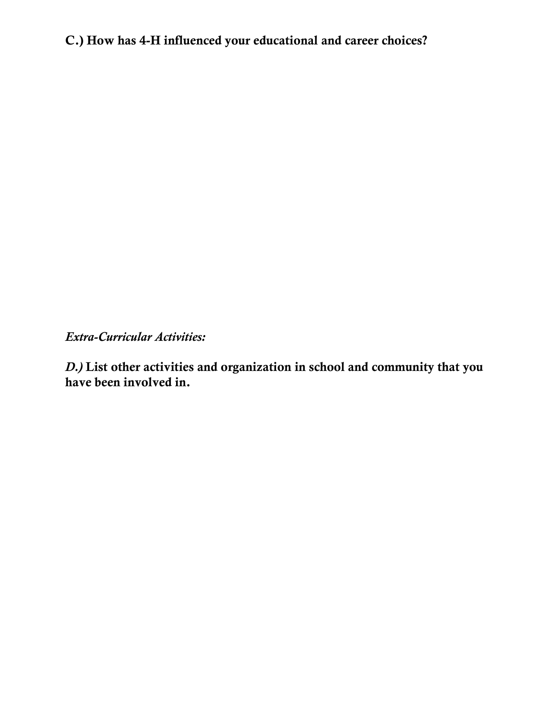C.) How has 4-H influenced your educational and career choices?

*Extra-Curricular Activities:*

*D.)* List other activities and organization in school and community that you have been involved in.